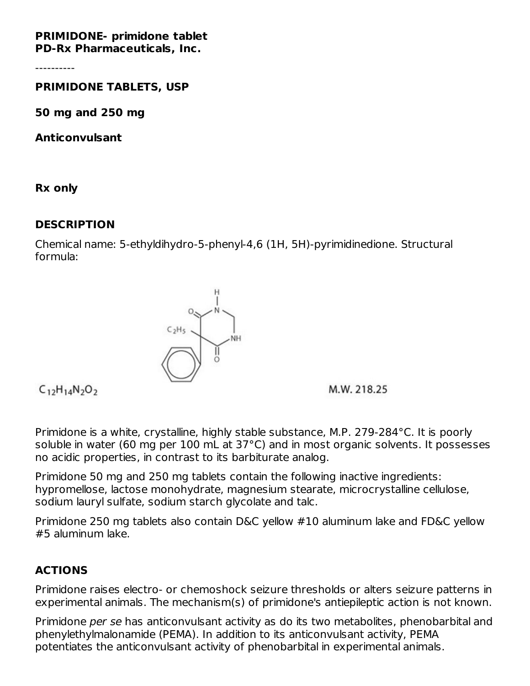#### **PRIMIDONE- primidone tablet PD-Rx Pharmaceuticals, Inc.**

----------

**PRIMIDONE TABLETS, USP**

**50 mg and 250 mg**

**Anticonvulsant**

**Rx only**

#### **DESCRIPTION**

Chemical name: 5-ethyldihydro-5-phenyl-4,6 (1H, 5H)-pyrimidinedione. Structural formula:



 $C_{12}H_{14}N_2O_2$ 

M.W. 218.25

Primidone is a white, crystalline, highly stable substance, M.P. 279-284°C. It is poorly soluble in water (60 mg per 100 mL at 37°C) and in most organic solvents. It possesses no acidic properties, in contrast to its barbiturate analog.

Primidone 50 mg and 250 mg tablets contain the following inactive ingredients: hypromellose, lactose monohydrate, magnesium stearate, microcrystalline cellulose, sodium lauryl sulfate, sodium starch glycolate and talc.

Primidone 250 mg tablets also contain D&C yellow #10 aluminum lake and FD&C yellow #5 aluminum lake.

## **ACTIONS**

Primidone raises electro- or chemoshock seizure thresholds or alters seizure patterns in experimental animals. The mechanism(s) of primidone's antiepileptic action is not known.

Primidone per se has anticonvulsant activity as do its two metabolites, phenobarbital and phenylethylmalonamide (PEMA). In addition to its anticonvulsant activity, PEMA potentiates the anticonvulsant activity of phenobarbital in experimental animals.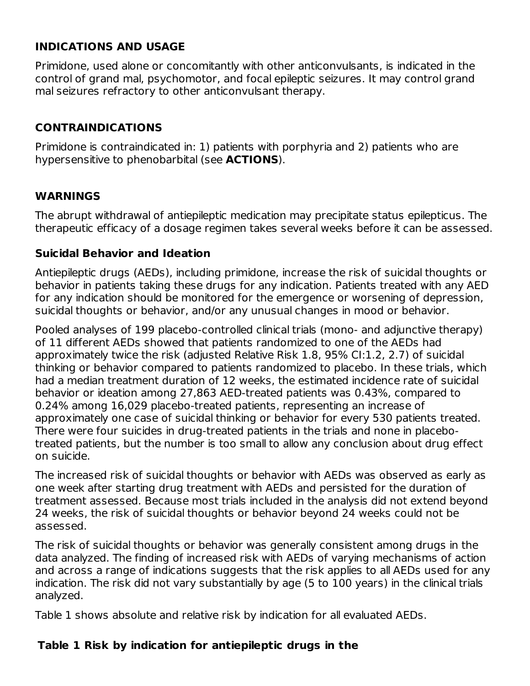## **INDICATIONS AND USAGE**

Primidone, used alone or concomitantly with other anticonvulsants, is indicated in the control of grand mal, psychomotor, and focal epileptic seizures. It may control grand mal seizures refractory to other anticonvulsant therapy.

# **CONTRAINDICATIONS**

Primidone is contraindicated in: 1) patients with porphyria and 2) patients who are hypersensitive to phenobarbital (see **ACTIONS**).

## **WARNINGS**

The abrupt withdrawal of antiepileptic medication may precipitate status epilepticus. The therapeutic efficacy of a dosage regimen takes several weeks before it can be assessed.

### **Suicidal Behavior and Ideation**

Antiepileptic drugs (AEDs), including primidone, increase the risk of suicidal thoughts or behavior in patients taking these drugs for any indication. Patients treated with any AED for any indication should be monitored for the emergence or worsening of depression, suicidal thoughts or behavior, and/or any unusual changes in mood or behavior.

Pooled analyses of 199 placebo-controlled clinical trials (mono- and adjunctive therapy) of 11 different AEDs showed that patients randomized to one of the AEDs had approximately twice the risk (adjusted Relative Risk 1.8, 95% CI:1.2, 2.7) of suicidal thinking or behavior compared to patients randomized to placebo. In these trials, which had a median treatment duration of 12 weeks, the estimated incidence rate of suicidal behavior or ideation among 27,863 AED-treated patients was 0.43%, compared to 0.24% among 16,029 placebo-treated patients, representing an increase of approximately one case of suicidal thinking or behavior for every 530 patients treated. There were four suicides in drug-treated patients in the trials and none in placebotreated patients, but the number is too small to allow any conclusion about drug effect on suicide.

The increased risk of suicidal thoughts or behavior with AEDs was observed as early as one week after starting drug treatment with AEDs and persisted for the duration of treatment assessed. Because most trials included in the analysis did not extend beyond 24 weeks, the risk of suicidal thoughts or behavior beyond 24 weeks could not be assessed.

The risk of suicidal thoughts or behavior was generally consistent among drugs in the data analyzed. The finding of increased risk with AEDs of varying mechanisms of action and across a range of indications suggests that the risk applies to all AEDs used for any indication. The risk did not vary substantially by age (5 to 100 years) in the clinical trials analyzed.

Table 1 shows absolute and relative risk by indication for all evaluated AEDs.

## **Table 1 Risk by indication for antiepileptic drugs in the**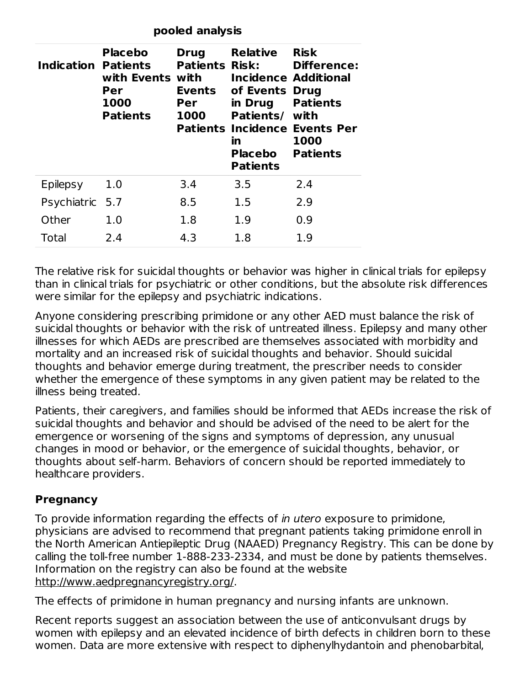| <b>Indication Patients</b> | <b>Placebo</b><br>with Events with<br>Per<br>1000<br><b>Patients</b> | <b>Drug</b><br><b>Patients Risk:</b><br>Per<br>1000 | Relative<br><b>Events</b> of Events Drug<br>in Drug<br>Patients/ with<br><u>in</u><br>Placebo<br><b>Patients</b> | <b>Risk</b><br>Difference:<br>Incidence Additional<br><b>Patients</b><br><b>Patients Incidence Events Per</b><br>1000<br><b>Patients</b> |
|----------------------------|----------------------------------------------------------------------|-----------------------------------------------------|------------------------------------------------------------------------------------------------------------------|------------------------------------------------------------------------------------------------------------------------------------------|
| Epilepsy                   | 1.0                                                                  | 3.4                                                 | 3.5                                                                                                              | 2.4                                                                                                                                      |
| Psychiatric 5.7            |                                                                      | 8.5                                                 | 1.5                                                                                                              | 2.9                                                                                                                                      |
| Other                      | 1.0                                                                  | 1.8                                                 | 1.9                                                                                                              | 0.9                                                                                                                                      |
| Total                      | 2.4                                                                  | 4.3                                                 | 1.8                                                                                                              | 1.9                                                                                                                                      |

**pooled analysis**

The relative risk for suicidal thoughts or behavior was higher in clinical trials for epilepsy than in clinical trials for psychiatric or other conditions, but the absolute risk differences were similar for the epilepsy and psychiatric indications.

Anyone considering prescribing primidone or any other AED must balance the risk of suicidal thoughts or behavior with the risk of untreated illness. Epilepsy and many other illnesses for which AEDs are prescribed are themselves associated with morbidity and mortality and an increased risk of suicidal thoughts and behavior. Should suicidal thoughts and behavior emerge during treatment, the prescriber needs to consider whether the emergence of these symptoms in any given patient may be related to the illness being treated.

Patients, their caregivers, and families should be informed that AEDs increase the risk of suicidal thoughts and behavior and should be advised of the need to be alert for the emergence or worsening of the signs and symptoms of depression, any unusual changes in mood or behavior, or the emergence of suicidal thoughts, behavior, or thoughts about self-harm. Behaviors of concern should be reported immediately to healthcare providers.

## **Pregnancy**

To provide information regarding the effects of in utero exposure to primidone, physicians are advised to recommend that pregnant patients taking primidone enroll in the North American Antiepileptic Drug (NAAED) Pregnancy Registry. This can be done by calling the toll-free number 1-888-233-2334, and must be done by patients themselves. Information on the registry can also be found at the website http://www.aedpregnancyregistry.org/.

The effects of primidone in human pregnancy and nursing infants are unknown.

Recent reports suggest an association between the use of anticonvulsant drugs by women with epilepsy and an elevated incidence of birth defects in children born to these women. Data are more extensive with respect to diphenylhydantoin and phenobarbital,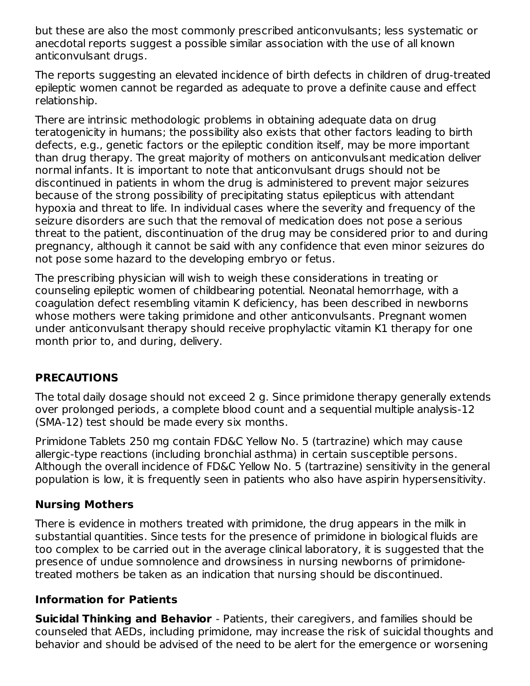but these are also the most commonly prescribed anticonvulsants; less systematic or anecdotal reports suggest a possible similar association with the use of all known anticonvulsant drugs.

The reports suggesting an elevated incidence of birth defects in children of drug-treated epileptic women cannot be regarded as adequate to prove a definite cause and effect relationship.

There are intrinsic methodologic problems in obtaining adequate data on drug teratogenicity in humans; the possibility also exists that other factors leading to birth defects, e.g., genetic factors or the epileptic condition itself, may be more important than drug therapy. The great majority of mothers on anticonvulsant medication deliver normal infants. It is important to note that anticonvulsant drugs should not be discontinued in patients in whom the drug is administered to prevent major seizures because of the strong possibility of precipitating status epilepticus with attendant hypoxia and threat to life. In individual cases where the severity and frequency of the seizure disorders are such that the removal of medication does not pose a serious threat to the patient, discontinuation of the drug may be considered prior to and during pregnancy, although it cannot be said with any confidence that even minor seizures do not pose some hazard to the developing embryo or fetus.

The prescribing physician will wish to weigh these considerations in treating or counseling epileptic women of childbearing potential. Neonatal hemorrhage, with a coagulation defect resembling vitamin K deficiency, has been described in newborns whose mothers were taking primidone and other anticonvulsants. Pregnant women under anticonvulsant therapy should receive prophylactic vitamin K1 therapy for one month prior to, and during, delivery.

## **PRECAUTIONS**

The total daily dosage should not exceed 2 g. Since primidone therapy generally extends over prolonged periods, a complete blood count and a sequential multiple analysis-12 (SMA-12) test should be made every six months.

Primidone Tablets 250 mg contain FD&C Yellow No. 5 (tartrazine) which may cause allergic-type reactions (including bronchial asthma) in certain susceptible persons. Although the overall incidence of FD&C Yellow No. 5 (tartrazine) sensitivity in the general population is low, it is frequently seen in patients who also have aspirin hypersensitivity.

### **Nursing Mothers**

There is evidence in mothers treated with primidone, the drug appears in the milk in substantial quantities. Since tests for the presence of primidone in biological fluids are too complex to be carried out in the average clinical laboratory, it is suggested that the presence of undue somnolence and drowsiness in nursing newborns of primidonetreated mothers be taken as an indication that nursing should be discontinued.

### **Information for Patients**

**Suicidal Thinking and Behavior** - Patients, their caregivers, and families should be counseled that AEDs, including primidone, may increase the risk of suicidal thoughts and behavior and should be advised of the need to be alert for the emergence or worsening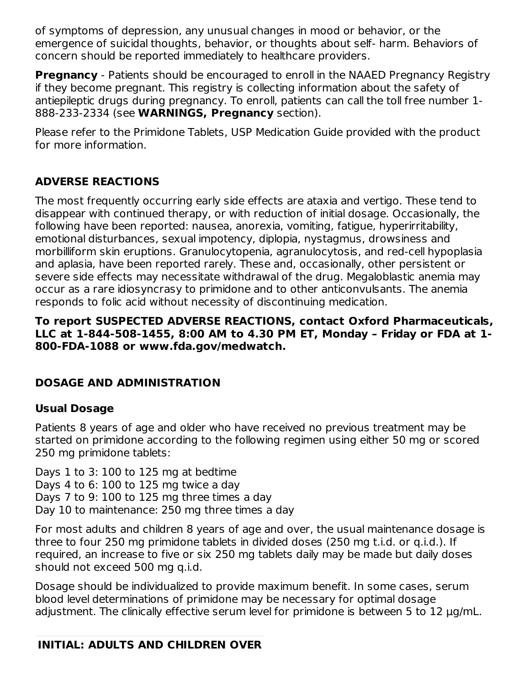of symptoms of depression, any unusual changes in mood or behavior, or the emergence of suicidal thoughts, behavior, or thoughts about self- harm. Behaviors of concern should be reported immediately to healthcare providers.

**Pregnancy** - Patients should be encouraged to enroll in the NAAED Pregnancy Registry if they become pregnant. This registry is collecting information about the safety of antiepileptic drugs during pregnancy. To enroll, patients can call the toll free number 1- 888-233-2334 (see **WARNINGS, Pregnancy** section).

Please refer to the Primidone Tablets, USP Medication Guide provided with the product for more information.

# **ADVERSE REACTIONS**

The most frequently occurring early side effects are ataxia and vertigo. These tend to disappear with continued therapy, or with reduction of initial dosage. Occasionally, the following have been reported: nausea, anorexia, vomiting, fatigue, hyperirritability, emotional disturbances, sexual impotency, diplopia, nystagmus, drowsiness and morbilliform skin eruptions. Granulocytopenia, agranulocytosis, and red-cell hypoplasia and aplasia, have been reported rarely. These and, occasionally, other persistent or severe side effects may necessitate withdrawal of the drug. Megaloblastic anemia may occur as a rare idiosyncrasy to primidone and to other anticonvulsants. The anemia responds to folic acid without necessity of discontinuing medication.

#### **To report SUSPECTED ADVERSE REACTIONS, contact Oxford Pharmaceuticals, LLC at 1-844-508-1455, 8:00 AM to 4.30 PM ET, Monday – Friday or FDA at 1- 800-FDA-1088 or www.fda.gov/medwatch.**

# **DOSAGE AND ADMINISTRATION**

## **Usual Dosage**

Patients 8 years of age and older who have received no previous treatment may be started on primidone according to the following regimen using either 50 mg or scored 250 mg primidone tablets:

Days 1 to 3: 100 to 125 mg at bedtime Days 4 to 6: 100 to 125 mg twice a day Days 7 to 9: 100 to 125 mg three times a day Day 10 to maintenance: 250 mg three times a day

For most adults and children 8 years of age and over, the usual maintenance dosage is three to four 250 mg primidone tablets in divided doses (250 mg t.i.d. or q.i.d.). If required, an increase to five or six 250 mg tablets daily may be made but daily doses should not exceed 500 mg q.i.d.

Dosage should be individualized to provide maximum benefit. In some cases, serum blood level determinations of primidone may be necessary for optimal dosage adjustment. The clinically effective serum level for primidone is between 5 to 12 µg/mL.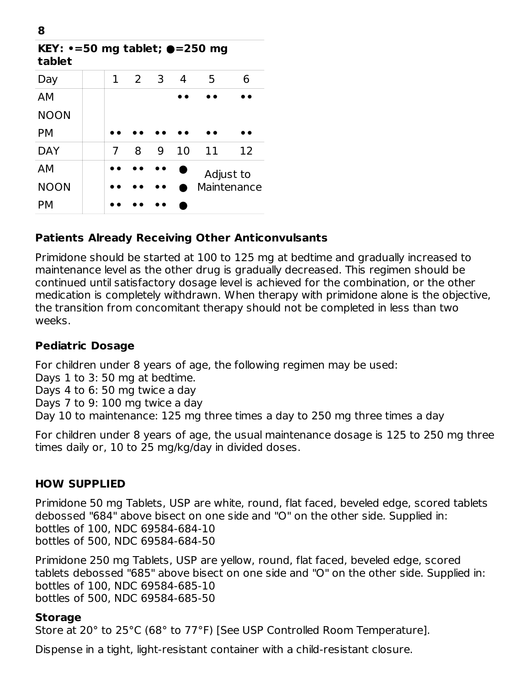| KEY: $\cdot$ =50 mg tablet; $\bullet$ =250 mg<br>tablet |  |              |   |   |    |           |             |
|---------------------------------------------------------|--|--------------|---|---|----|-----------|-------------|
| Day                                                     |  | $\mathbf{1}$ | 2 | 3 | 4  | 5         | 6           |
| AM                                                      |  |              |   |   |    |           |             |
| <b>NOON</b>                                             |  |              |   |   |    |           |             |
| <b>PM</b>                                               |  |              |   |   |    |           |             |
| <b>DAY</b>                                              |  |              | 8 | q | 10 | 11        | 12          |
| AM                                                      |  |              |   |   |    | Adjust to |             |
| <b>NOON</b>                                             |  |              |   |   |    |           | Maintenance |

### **Patients Already Receiving Other Anticonvulsants**

Primidone should be started at 100 to 125 mg at bedtime and gradually increased to maintenance level as the other drug is gradually decreased. This regimen should be continued until satisfactory dosage level is achieved for the combination, or the other medication is completely withdrawn. When therapy with primidone alone is the objective, the transition from concomitant therapy should not be completed in less than two weeks.

#### **Pediatric Dosage**

For children under 8 years of age, the following regimen may be used:

Days 1 to 3: 50 mg at bedtime.

PM **•• •• •• ●**

Days 4 to 6: 50 mg twice a day

Days 7 to 9: 100 mg twice a day

Day 10 to maintenance: 125 mg three times a day to 250 mg three times a day

For children under 8 years of age, the usual maintenance dosage is 125 to 250 mg three times daily or, 10 to 25 mg/kg/day in divided doses.

### **HOW SUPPLIED**

Primidone 50 mg Tablets, USP are white, round, flat faced, beveled edge, scored tablets debossed "684" above bisect on one side and "O" on the other side. Supplied in: bottles of 100, NDC 69584-684-10 bottles of 500, NDC 69584-684-50

Primidone 250 mg Tablets, USP are yellow, round, flat faced, beveled edge, scored tablets debossed "685" above bisect on one side and "O" on the other side. Supplied in: bottles of 100, NDC 69584-685-10 bottles of 500, NDC 69584-685-50

#### **Storage**

Store at 20° to 25°C (68° to 77°F) [See USP Controlled Room Temperature].

Dispense in a tight, light-resistant container with a child-resistant closure.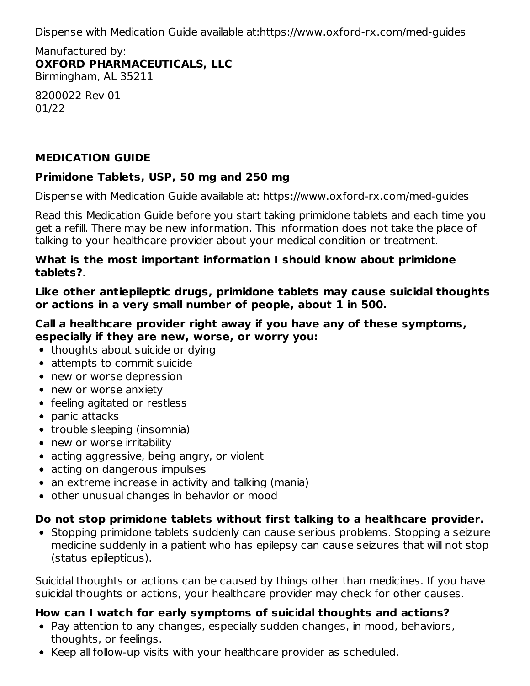Dispense with Medication Guide available at:https://www.oxford-rx.com/med-guides

Manufactured by: **OXFORD PHARMACEUTICALS, LLC** Birmingham, AL 35211

8200022 Rev 01 01/22

#### **MEDICATION GUIDE**

### **Primidone Tablets, USP, 50 mg and 250 mg**

Dispense with Medication Guide available at: https://www.oxford-rx.com/med-guides

Read this Medication Guide before you start taking primidone tablets and each time you get a refill. There may be new information. This information does not take the place of talking to your healthcare provider about your medical condition or treatment.

#### **What is the most important information I should know about primidone tablets?**.

**Like other antiepileptic drugs, primidone tablets may cause suicidal thoughts or actions in a very small number of people, about 1 in 500.**

#### **Call a healthcare provider right away if you have any of these symptoms, especially if they are new, worse, or worry you:**

- thoughts about suicide or dying
- attempts to commit suicide
- new or worse depression
- new or worse anxiety
- feeling agitated or restless
- panic attacks
- trouble sleeping (insomnia)
- new or worse irritability
- acting aggressive, being angry, or violent
- acting on dangerous impulses
- an extreme increase in activity and talking (mania)
- other unusual changes in behavior or mood

### **Do not stop primidone tablets without first talking to a healthcare provider.**

• Stopping primidone tablets suddenly can cause serious problems. Stopping a seizure medicine suddenly in a patient who has epilepsy can cause seizures that will not stop (status epilepticus).

Suicidal thoughts or actions can be caused by things other than medicines. If you have suicidal thoughts or actions, your healthcare provider may check for other causes.

### **How can I watch for early symptoms of suicidal thoughts and actions?**

- Pay attention to any changes, especially sudden changes, in mood, behaviors, thoughts, or feelings.
- Keep all follow-up visits with your healthcare provider as scheduled.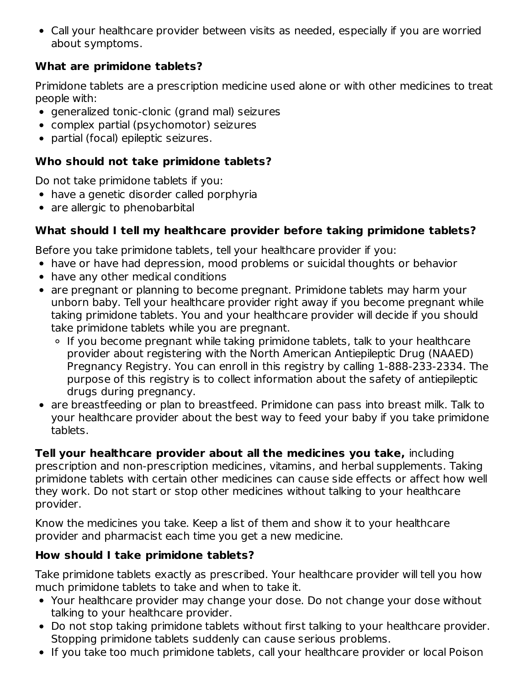Call your healthcare provider between visits as needed, especially if you are worried about symptoms.

## **What are primidone tablets?**

Primidone tablets are a prescription medicine used alone or with other medicines to treat people with:

- generalized tonic-clonic (grand mal) seizures
- complex partial (psychomotor) seizures
- partial (focal) epileptic seizures.

## **Who should not take primidone tablets?**

Do not take primidone tablets if you:

- have a genetic disorder called porphyria
- are allergic to phenobarbital

# **What should I tell my healthcare provider before taking primidone tablets?**

Before you take primidone tablets, tell your healthcare provider if you:

- have or have had depression, mood problems or suicidal thoughts or behavior
- have any other medical conditions
- are pregnant or planning to become pregnant. Primidone tablets may harm your unborn baby. Tell your healthcare provider right away if you become pregnant while taking primidone tablets. You and your healthcare provider will decide if you should take primidone tablets while you are pregnant.
	- ∘ If you become pregnant while taking primidone tablets, talk to your healthcare provider about registering with the North American Antiepileptic Drug (NAAED) Pregnancy Registry. You can enroll in this registry by calling 1-888-233-2334. The purpose of this registry is to collect information about the safety of antiepileptic drugs during pregnancy.
- are breastfeeding or plan to breastfeed. Primidone can pass into breast milk. Talk to your healthcare provider about the best way to feed your baby if you take primidone tablets.

**Tell your healthcare provider about all the medicines you take,** including prescription and non-prescription medicines, vitamins, and herbal supplements. Taking primidone tablets with certain other medicines can cause side effects or affect how well they work. Do not start or stop other medicines without talking to your healthcare provider.

Know the medicines you take. Keep a list of them and show it to your healthcare provider and pharmacist each time you get a new medicine.

## **How should I take primidone tablets?**

Take primidone tablets exactly as prescribed. Your healthcare provider will tell you how much primidone tablets to take and when to take it.

- Your healthcare provider may change your dose. Do not change your dose without talking to your healthcare provider.
- Do not stop taking primidone tablets without first talking to your healthcare provider. Stopping primidone tablets suddenly can cause serious problems.
- If you take too much primidone tablets, call your healthcare provider or local Poison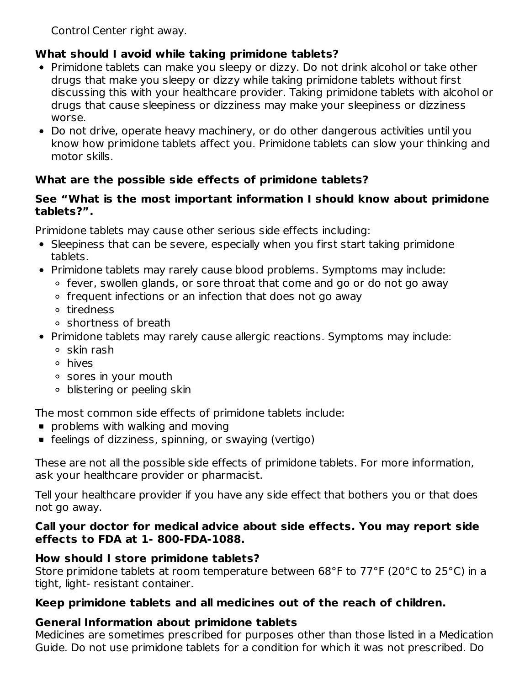Control Center right away.

## **What should I avoid while taking primidone tablets?**

- Primidone tablets can make you sleepy or dizzy. Do not drink alcohol or take other drugs that make you sleepy or dizzy while taking primidone tablets without first discussing this with your healthcare provider. Taking primidone tablets with alcohol or drugs that cause sleepiness or dizziness may make your sleepiness or dizziness worse.
- Do not drive, operate heavy machinery, or do other dangerous activities until you know how primidone tablets affect you. Primidone tablets can slow your thinking and motor skills.

## **What are the possible side effects of primidone tablets?**

#### **See "What is the most important information I should know about primidone tablets?".**

Primidone tablets may cause other serious side effects including:

- Sleepiness that can be severe, especially when you first start taking primidone tablets.
- Primidone tablets may rarely cause blood problems. Symptoms may include:
	- ∘ fever, swollen glands, or sore throat that come and go or do not go away
	- o frequent infections or an infection that does not go away
	- tiredness
	- shortness of breath
- Primidone tablets may rarely cause allergic reactions. Symptoms may include:
	- $\circ$  skin rash
	- hives
	- sores in your mouth
	- blistering or peeling skin

The most common side effects of primidone tablets include:

- **problems with walking and moving**
- feelings of dizziness, spinning, or swaying (vertigo)

These are not all the possible side effects of primidone tablets. For more information, ask your healthcare provider or pharmacist.

Tell your healthcare provider if you have any side effect that bothers you or that does not go away.

#### **Call your doctor for medical advice about side effects. You may report side effects to FDA at 1- 800-FDA-1088.**

### **How should I store primidone tablets?**

Store primidone tablets at room temperature between 68°F to 77°F (20°C to 25°C) in a tight, light- resistant container.

### **Keep primidone tablets and all medicines out of the reach of children.**

### **General Information about primidone tablets**

Medicines are sometimes prescribed for purposes other than those listed in a Medication Guide. Do not use primidone tablets for a condition for which it was not prescribed. Do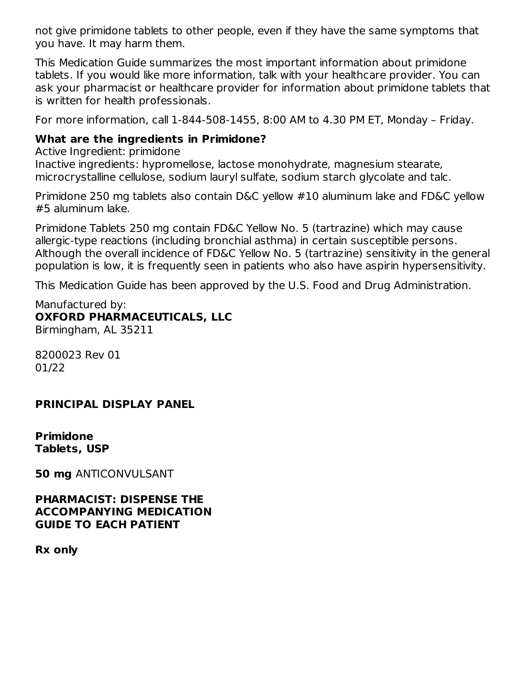not give primidone tablets to other people, even if they have the same symptoms that you have. It may harm them.

This Medication Guide summarizes the most important information about primidone tablets. If you would like more information, talk with your healthcare provider. You can ask your pharmacist or healthcare provider for information about primidone tablets that is written for health professionals.

For more information, call 1-844-508-1455, 8:00 AM to 4.30 PM ET, Monday – Friday.

## **What are the ingredients in Primidone?**

Active Ingredient: primidone

Inactive ingredients: hypromellose, lactose monohydrate, magnesium stearate, microcrystalline cellulose, sodium lauryl sulfate, sodium starch glycolate and talc.

Primidone 250 mg tablets also contain D&C yellow #10 aluminum lake and FD&C yellow #5 aluminum lake.

Primidone Tablets 250 mg contain FD&C Yellow No. 5 (tartrazine) which may cause allergic-type reactions (including bronchial asthma) in certain susceptible persons. Although the overall incidence of FD&C Yellow No. 5 (tartrazine) sensitivity in the general population is low, it is frequently seen in patients who also have aspirin hypersensitivity.

This Medication Guide has been approved by the U.S. Food and Drug Administration.

Manufactured by: **OXFORD PHARMACEUTICALS, LLC** Birmingham, AL 35211

8200023 Rev 01 01/22

## **PRINCIPAL DISPLAY PANEL**

**Primidone Tablets, USP**

**50 mg** ANTICONVULSANT

#### **PHARMACIST: DISPENSE THE ACCOMPANYING MEDICATION GUIDE TO EACH PATIENT**

**Rx only**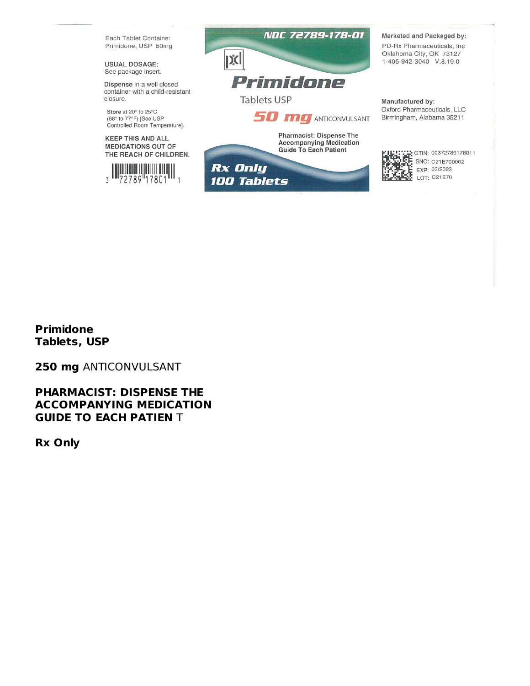Each Tablet Contains: Primidone, USP 50mg

**USUAL DOSAGE:** See package insert.

Dispense in a well closed container with a child-resistant closure.

Store at 20° to 25°C (68° to 77°F) [See USP Controlled Room Temperature].

**KEEP THIS AND ALL MEDICATIONS OUT OF** THE REACH OF CHILDREN.

 $\frac{1}{3}$   $\frac{1}{72789}$  17801



**Rx Only 100 Tablets**  Marketed and Packaged by: PD-Rx Pharmaceuticals, Inc. Oklahoma City, OK 73127 1-405-942-3040 V.8.19.0

Manufactured by: Oxford Pharmaceuticals, LLC Birmingham, Alabama 35211



**: ' ' ' ' GTIN: 00372789178011**<br>**| B | E** SNO: C21E700002<br>| B | E EXP: 03/2023<br>| Exx: LOT: C21E70

#### **Primidone Tablets, USP**

**250 mg** ANTICONVULSANT

**PHARMACIST: DISPENSE THE ACCOMPANYING MEDICATION GUIDE TO EACH PATIEN** T

**Rx Only**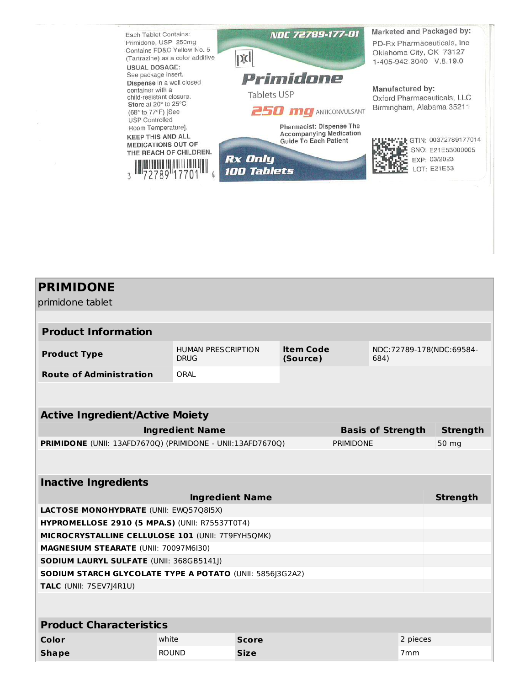

#### **PRIMIDONE**

primidone tablet

| <b>Product Information</b>                                        |                                   |                                      |  |                  |                          |                 |
|-------------------------------------------------------------------|-----------------------------------|--------------------------------------|--|------------------|--------------------------|-----------------|
| <b>Product Type</b>                                               | <b>HUMAN PRESCRIPTION</b><br>DRUG | <b>Item Code</b><br>(Source)<br>684) |  |                  | NDC:72789-178(NDC:69584- |                 |
| <b>Route of Administration</b>                                    | ORAI                              |                                      |  |                  |                          |                 |
|                                                                   |                                   |                                      |  |                  |                          |                 |
| <b>Active Ingredient/Active Moiety</b>                            |                                   |                                      |  |                  |                          |                 |
|                                                                   | <b>Ingredient Name</b>            |                                      |  |                  | <b>Basis of Strength</b> | <b>Strength</b> |
| <b>PRIMIDONE</b> (UNII: 13AFD7670Q) (PRIMIDONE - UNII:13AFD7670Q) |                                   |                                      |  | <b>PRIMIDONE</b> |                          | 50 mg           |
|                                                                   |                                   |                                      |  |                  |                          |                 |
|                                                                   |                                   |                                      |  |                  |                          |                 |
| <b>Inactive Ingredients</b>                                       |                                   |                                      |  |                  |                          |                 |
|                                                                   | <b>Ingredient Name</b>            |                                      |  |                  |                          | <b>Strength</b> |
| LACTOSE MONOHYDRATE (UNII: EWQ57Q8I5X)                            |                                   |                                      |  |                  |                          |                 |
| <b>HYPROMELLOSE 2910 (5 MPA.S) (UNII: R75537T0T4)</b>             |                                   |                                      |  |                  |                          |                 |
| MICROCRYSTALLINE CELLULOSE 101 (UNII: 7T9FYH5QMK)                 |                                   |                                      |  |                  |                          |                 |
| <b>MAGNESIUM STEARATE (UNII: 70097M6I30)</b>                      |                                   |                                      |  |                  |                          |                 |
| <b>SODIUM LAURYL SULFATE (UNII: 368GB5141J)</b>                   |                                   |                                      |  |                  |                          |                 |
| <b>SODIUM STARCH GLYCOLATE TYPE A POTATO (UNII: 5856]3G2A2)</b>   |                                   |                                      |  |                  |                          |                 |
| TALC (UNII: 7SEV7J4R1U)                                           |                                   |                                      |  |                  |                          |                 |
|                                                                   |                                   |                                      |  |                  |                          |                 |
| <b>Product Characteristics</b>                                    |                                   |                                      |  |                  |                          |                 |
| Color                                                             | white                             | <b>Score</b>                         |  |                  | 2 pieces                 |                 |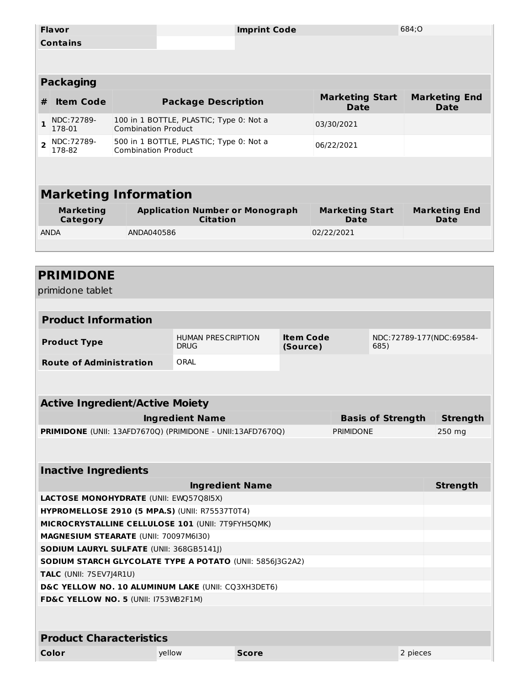|                                        | <b>Flavor</b>                          |                            |                                                           | <b>Imprint Code</b> |                              |                                                                       |      | 684:0 |                                     |  |  |
|----------------------------------------|----------------------------------------|----------------------------|-----------------------------------------------------------|---------------------|------------------------------|-----------------------------------------------------------------------|------|-------|-------------------------------------|--|--|
|                                        | <b>Contains</b>                        |                            |                                                           |                     |                              |                                                                       |      |       |                                     |  |  |
|                                        |                                        |                            |                                                           |                     |                              |                                                                       |      |       |                                     |  |  |
| <b>Packaging</b>                       |                                        |                            |                                                           |                     |                              |                                                                       |      |       |                                     |  |  |
| #                                      | <b>Item Code</b>                       |                            | <b>Package Description</b>                                |                     |                              | <b>Marketing Start</b><br>Date                                        |      |       | <b>Marketing End</b><br><b>Date</b> |  |  |
| $\mathbf{1}$                           | NDC: 72789-<br>178-01                  | <b>Combination Product</b> | 100 in 1 BOTTLE, PLASTIC; Type 0: Not a                   |                     |                              | 03/30/2021                                                            |      |       |                                     |  |  |
| $\overline{2}$                         | NDC:72789-<br>178-82                   | <b>Combination Product</b> | 500 in 1 BOTTLE, PLASTIC; Type 0: Not a                   |                     |                              | 06/22/2021                                                            |      |       |                                     |  |  |
|                                        |                                        |                            |                                                           |                     |                              |                                                                       |      |       |                                     |  |  |
|                                        | <b>Marketing Information</b>           |                            |                                                           |                     |                              |                                                                       |      |       |                                     |  |  |
|                                        | <b>Marketing</b><br>Category           |                            | <b>Application Number or Monograph</b><br><b>Citation</b> |                     |                              | <b>Marketing Start</b><br>Date                                        |      |       | <b>Marketing End</b><br><b>Date</b> |  |  |
| <b>ANDA</b><br>ANDA040586              |                                        |                            |                                                           | 02/22/2021          |                              |                                                                       |      |       |                                     |  |  |
|                                        |                                        |                            |                                                           |                     |                              |                                                                       |      |       |                                     |  |  |
| <b>PRIMIDONE</b>                       |                                        |                            |                                                           |                     |                              |                                                                       |      |       |                                     |  |  |
|                                        | primidone tablet                       |                            |                                                           |                     |                              |                                                                       |      |       |                                     |  |  |
|                                        |                                        |                            |                                                           |                     |                              |                                                                       |      |       |                                     |  |  |
| <b>Product Information</b>             |                                        |                            |                                                           |                     |                              |                                                                       |      |       |                                     |  |  |
|                                        | <b>Product Type</b>                    |                            | HUMAN PRESCRIPTION<br><b>DRUG</b>                         |                     | <b>Item Code</b><br>(Source) |                                                                       | 685) |       | NDC:72789-177(NDC:69584-            |  |  |
| <b>Route of Administration</b><br>ORAL |                                        |                            |                                                           |                     |                              |                                                                       |      |       |                                     |  |  |
|                                        |                                        |                            |                                                           |                     |                              |                                                                       |      |       |                                     |  |  |
|                                        | <b>Active Ingredient/Active Moiety</b> |                            |                                                           |                     |                              |                                                                       |      |       |                                     |  |  |
|                                        |                                        |                            |                                                           |                     |                              | <b>Ingredient Name</b><br><b>Basis of Strength</b><br><b>Strength</b> |      |       |                                     |  |  |

| <b>PRIMIDONE</b> (UNII: 13AFD7670Q) (PRIMIDONE - UNII:13AFD7670Q) | <b>PRIMIDONE</b> | 250 ma |
|-------------------------------------------------------------------|------------------|--------|
|                                                                   |                  |        |

| <b>Inactive Ingredients</b>                                     |  |  |  |  |  |  |
|-----------------------------------------------------------------|--|--|--|--|--|--|
| <b>Ingredient Name</b>                                          |  |  |  |  |  |  |
| <b>LACTOSE MONOHYDRATE (UNII: EWQ57Q8I5X)</b>                   |  |  |  |  |  |  |
| <b>HYPROMELLOSE 2910 (5 MPA.S) (UNII: R75537T0T4)</b>           |  |  |  |  |  |  |
| MICROCRYSTALLINE CELLULOSE 101 (UNII: 7T9FYH5QMK)               |  |  |  |  |  |  |
| <b>MAGNESIUM STEARATE (UNII: 70097M6I30)</b>                    |  |  |  |  |  |  |
| <b>SODIUM LAURYL SULFATE (UNII: 368GB5141I)</b>                 |  |  |  |  |  |  |
| <b>SODIUM STARCH GLYCOLATE TYPE A POTATO (UNII: 5856J3G2A2)</b> |  |  |  |  |  |  |
| <b>TALC</b> (UNII: 7SEV7J4R1U)                                  |  |  |  |  |  |  |
| D&C YELLOW NO. 10 ALUMINUM LAKE (UNII: CO3XH3DET6)              |  |  |  |  |  |  |
| FD&C YELLOW NO. 5 (UNII: I753WB2F1M)                            |  |  |  |  |  |  |
|                                                                 |  |  |  |  |  |  |
| <b>Product Characteristics</b>                                  |  |  |  |  |  |  |
| yellow<br>2 pieces<br>Color<br><b>Score</b>                     |  |  |  |  |  |  |